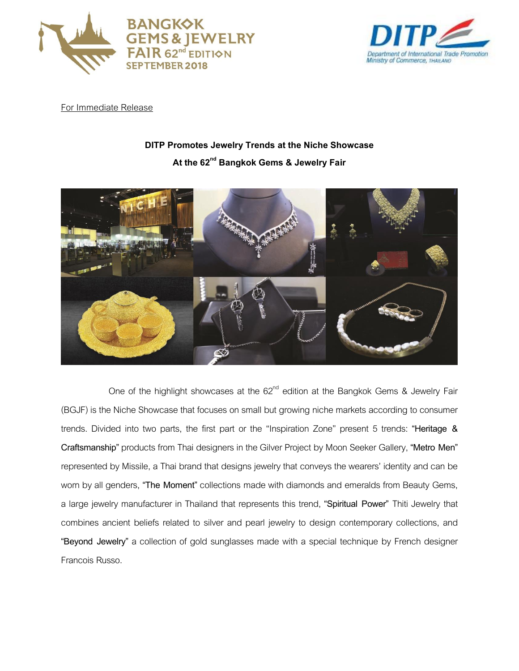



For Immediate Release

## **DITP Promotes Jewelry Trends at the Niche Showcase**

## **At the 62nd Bangkok Gems & Jewelry Fair**



One of the highlight showcases at the  $62<sup>nd</sup>$  edition at the Bangkok Gems & Jewelry Fair (BGJF) is the Niche Showcase that focuses on small but growing niche markets according to consumer trends. Divided into two parts, the first part or the "Inspiration Zone" present 5 trends: **"Heritage & Craftsmanship"** products from Thai designers in the Gilver Project by Moon Seeker Gallery, **"Metro Men"**  represented by Missile, a Thai brand that designs jewelry that conveys the wearers' identity and can be worn by all genders, **"The Moment"** collections made with diamonds and emeralds from Beauty Gems, a large jewelry manufacturer in Thailand that represents this trend, **"Spiritual Power"** Thiti Jewelry that combines ancient beliefs related to silver and pearl jewelry to design contemporary collections, and **"Beyond Jewelry"** a collection of gold sunglasses made with a special technique by French designer Francois Russo.